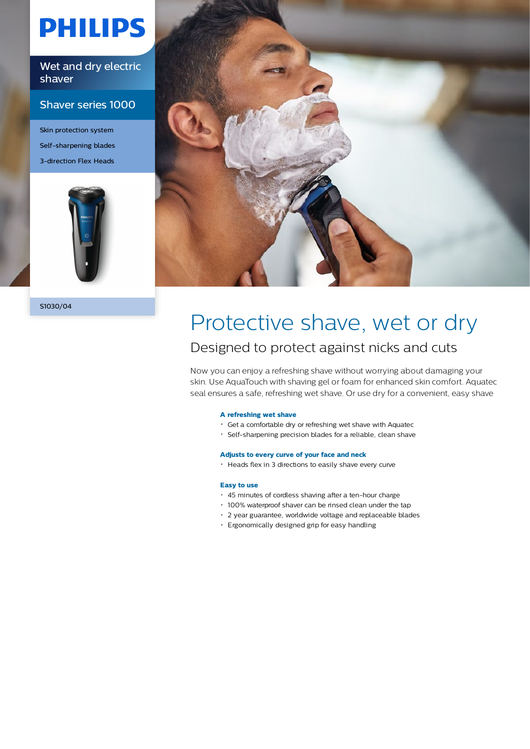# **PHILIPS**

Wet and dry electric shaver

### Shaver series 1000

Skin protection system Self-sharpening blades 3-direction Flex Heads



S1030/04



### Protective shave, wet or dry Designed to protect against nicks and cuts

Now you can enjoy a refreshing shave without worrying about damaging your skin. Use AquaTouch with shaving gel or foam for enhanced skin comfort. Aquatec seal ensures a safe, refreshing wet shave. Or use dry for a convenient, easy shave

#### **A refreshing wet shave**

- Get a comfortable dry or refreshing wet shave with Aquatec
- Self-sharpening precision blades for a reliable, clean shave

#### **Adjusts to every curve of your face and neck**

Heads flex in 3 directions to easily shave every curve

#### **Easy to use**

- 45 minutes of cordless shaving after a ten-hour charge
- 100% waterproof shaver can be rinsed clean under the tap
- 2 year guarantee, worldwide voltage and replaceable blades
- Ergonomically designed grip for easy handling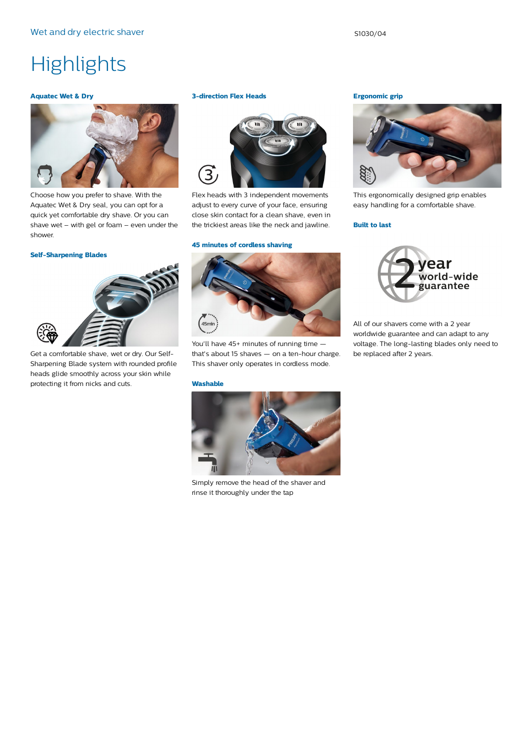## **Highlights**

#### **Aquatec Wet & Dry**



Choose how you prefer to shave. With the Aquatec Wet & Dry seal, you can opt for a quick yet comfortable dry shave. Or you can shave wet – with gel or foam – even under the shower.

#### **Self-Sharpening Blades**



Get a comfortable shave, wet or dry. Our Self-Sharpening Blade system with rounded profile heads glide smoothly across your skin while protecting it from nicks and cuts.

#### **3-direction Flex Heads**



Flex heads with 3 independent movements adjust to every curve of your face, ensuring close skin contact for a clean shave, even in the trickiest areas like the neck and jawline.

#### **45 minutes of cordless shaving**



You'll have 45+ minutes of running time that's about 15 shaves — on a ten-hour charge. This shaver only operates in cordless mode.

#### **Washable**



Simply remove the head of the shaver and rinse it thoroughly under the tap

**Ergonomic grip**



This ergonomically designed grip enables easy handling for a comfortable shave.

#### **Built to last**



All of our shavers come with a 2 year worldwide guarantee and can adapt to any voltage. The long-lasting blades only need to be replaced after 2 years.